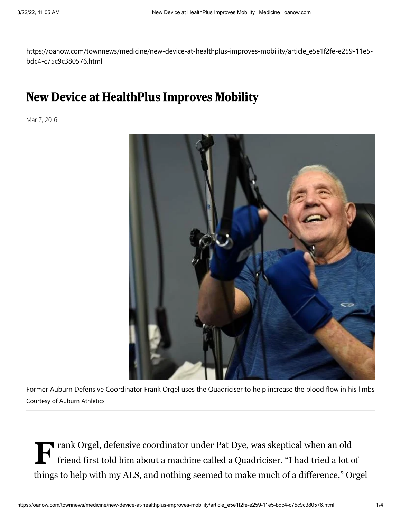https://oanow.com/townnews/medicine/new-device-at-healthplus-improves-mobility/article\_e5e1f2fe-e259-11e5 bdc4-c75c9c380576.html

## New Device at HealthPlus Improves Mobility

Mar 7, 2016



Former Auburn Defensive Coordinator Frank Orgel uses the Quadriciser to help increase the blood flow in his limbs Courtesy of Auburn Athletics

**F** rank Orgel, defensive coordinator under Pat Dye, was skeptical when an old friend first told him about a machine called a Quadriciser. "I had tried a lot of friend first told him about a machine called a Quadriciser. "I had tried a lot of things to help with my ALS, and nothing seemed to make much of a difference," Orgel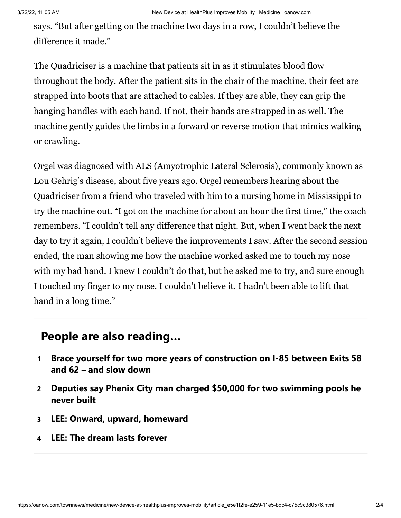says. "But after getting on the machine two days in a row, I couldn't believe the difference it made."

The Quadriciser is a machine that patients sit in as it stimulates blood flow throughout the body. After the patient sits in the chair of the machine, their feet are strapped into boots that are attached to cables. If they are able, they can grip the hanging handles with each hand. If not, their hands are strapped in as well. The machine gently guides the limbs in a forward or reverse motion that mimics walking or crawling.

Orgel was diagnosed with ALS (Amyotrophic Lateral Sclerosis), commonly known as Lou Gehrig's disease, about five years ago. Orgel remembers hearing about the Quadriciser from a friend who traveled with him to a nursing home in Mississippi to try the machine out. "I got on the machine for about an hour the first time," the coach remembers. "I couldn't tell any difference that night. But, when I went back the next day to try it again, I couldn't believe the improvements I saw. After the second session ended, the man showing me how the machine worked asked me to touch my nose with my bad hand. I knew I couldn't do that, but he asked me to try, and sure enough I touched my finger to my nose. I couldn't believe it. I hadn't been able to lift that hand in a long time."

## **People are also reading…**

- **1 [Brace yourself for two more years of construction on I-85 between Exits 58](https://oanow.com/news/local/brace-yourself-for-two-more-years-of-construction-on-i-85-between-exits-58-and/article_a120c930-a948-11ec-8b56-3f37301bd557.html#tracking-source=in-article-popular) and 62 – and slow down**
- **2 [Deputies say Phenix City man charged \\$50,000 for two swimming pools he](https://oanow.com/news/local/crime-and-courts/deputies-say-phenix-city-man-charged-50-000-for-two-swimming-pools-he-never-built/article_ed51454a-a61a-11ec-976c-af4ccd44a3e9.html#tracking-source=in-article-popular) never built**
- **3 [LEE: Onward, upward, homeward](https://oanow.com/sports/college/auburn/lee-onward-upward-homeward/article_d75fced0-a950-11ec-889e-f37284066a11.html#tracking-source=in-article-popular)**
- **4 [LEE: The dream lasts forever](https://oanow.com/sports/college/auburn/lee-the-dream-lasts-forever/article_54a0c95c-a7d1-11ec-a19c-63a1bdebe823.html#tracking-source=in-article-popular)**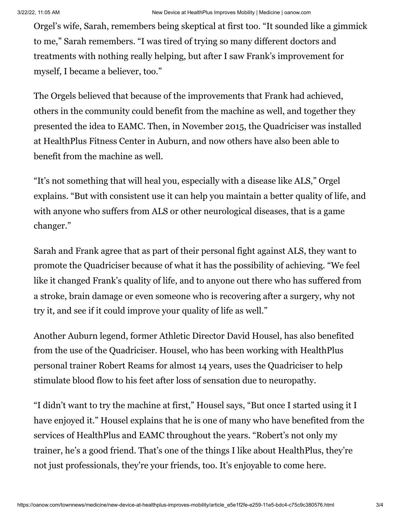Orgel's wife, Sarah, remembers being skeptical at first too. "It sounded like a gimmick to me," Sarah remembers. "I was tired of trying so many different doctors and treatments with nothing really helping, but after I saw Frank's improvement for myself, I became a believer, too."

The Orgels believed that because of the improvements that Frank had achieved, others in the community could benefit from the machine as well, and together they presented the idea to EAMC. Then, in November 2015, the Quadriciser was installed at HealthPlus Fitness Center in Auburn, and now others have also been able to benefit from the machine as well.

"It's not something that will heal you, especially with a disease like ALS," Orgel explains. "But with consistent use it can help you maintain a better quality of life, and with anyone who suffers from ALS or other neurological diseases, that is a game changer."

Sarah and Frank agree that as part of their personal fight against ALS, they want to promote the Quadriciser because of what it has the possibility of achieving. "We feel like it changed Frank's quality of life, and to anyone out there who has suffered from a stroke, brain damage or even someone who is recovering after a surgery, why not try it, and see if it could improve your quality of life as well."

Another Auburn legend, former Athletic Director David Housel, has also benefited from the use of the Quadriciser. Housel, who has been working with HealthPlus personal trainer Robert Reams for almost 14 years, uses the Quadriciser to help stimulate blood flow to his feet after loss of sensation due to neuropathy.

"I didn't want to try the machine at first," Housel says, "But once I started using it I have enjoyed it." Housel explains that he is one of many who have benefited from the services of HealthPlus and EAMC throughout the years. "Robert's not only my trainer, he's a good friend. That's one of the things I like about HealthPlus, they're not just professionals, they're your friends, too. It's enjoyable to come here.